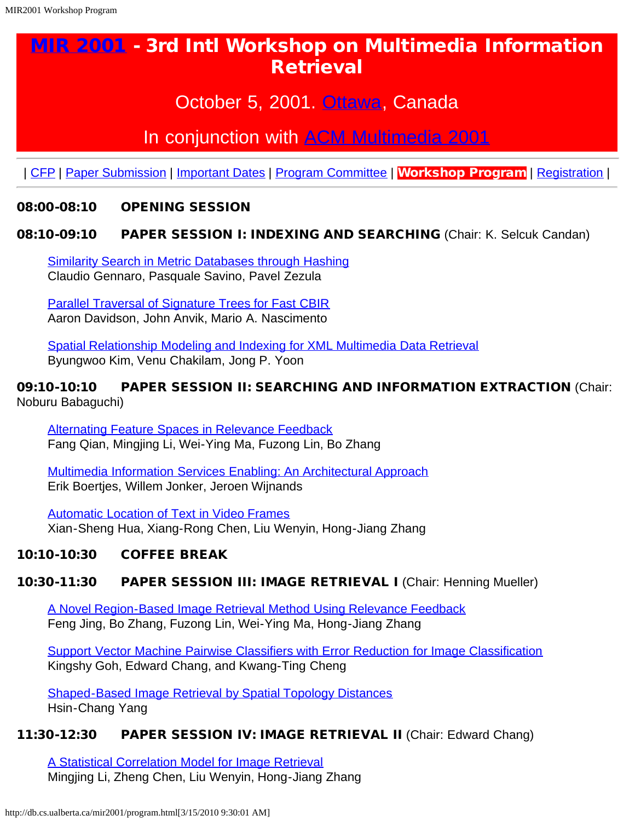# <span id="page-0-0"></span>[MIR 2001](http://db.cs.ualberta.ca/mir2001/) - 3rd Intl Workshop on Multimedia Information **Retrieval**

## October 5, 2001. [Ottawa,](http://www.tourottawa.org/) Canada

## In conjunction with [ACM Multimedia 2001](http://www.acm.org/sigs/sigmm/MM2001/)

| [CFP](#page-0-0) | [Paper Submission](#page-0-0) | [Important Dates](#page-0-0) | [Program Committee](#page-0-0) | Workshop Program | [Registration](http://www.acm.org/sigs/sigmm/MM2001/registration_master.html) |

### 08:00-08:10 OPENING SESSION

### 08:10-09:10 PAPER SESSION I: INDEXING AND SEARCHING (Chair: K. Selcuk Candan)

[Similarity Search in Metric Databases through Hashing](http://db.cs.ualberta.ca/mir2001/Abstracts/25.html) Claudio Gennaro, Pasquale Savino, Pavel Zezula

[Parallel Traversal of Signature Trees for Fast CBIR](http://db.cs.ualberta.ca/mir2001/Abstracts/42.html) Aaron Davidson, John Anvik, Mario A. Nascimento

[Spatial Relationship Modeling and Indexing for XML Multimedia Data Retrieval](http://db.cs.ualberta.ca/mir2001/Abstracts/40.html) Byungwoo Kim, Venu Chakilam, Jong P. Yoon

#### 09:10-10:10 PAPER SESSION II: SEARCHING AND INFORMATION EXTRACTION (Chair: Noburu Babaguchi)

[Alternating Feature Spaces in Relevance Feedback](http://db.cs.ualberta.ca/mir2001/Abstracts/29.html) Fang Qian, Mingjing Li, Wei-Ying Ma, Fuzong Lin, Bo Zhang

[Multimedia Information Services Enabling: An Architectural Approach](http://db.cs.ualberta.ca/mir2001/Abstracts/19.html) Erik Boertjes, Willem Jonker, Jeroen Wijnands

[Automatic Location of Text in Video Frames](http://db.cs.ualberta.ca/mir2001/Abstracts/24.html) Xian-Sheng Hua, Xiang-Rong Chen, Liu Wenyin, Hong-Jiang Zhang

## 10:10-10:30 COFFEE BREAK

## 10:30-11:30 PAPER SESSION III: IMAGE RETRIEVAL I (Chair: Henning Mueller)

[A Novel Region-Based Image Retrieval Method Using Relevance Feedback](http://db.cs.ualberta.ca/mir2001/Abstracts/31.html) Feng Jing, Bo Zhang, Fuzong Lin, Wei-Ying Ma, Hong-Jiang Zhang

[Support Vector Machine Pairwise Classifiers with Error Reduction for Image Classification](http://db.cs.ualberta.ca/mir2001/Abstracts/39.html) Kingshy Goh, Edward Chang, and Kwang-Ting Cheng

[Shaped-Based Image Retrieval by Spatial Topology Distances](http://db.cs.ualberta.ca/mir2001/Abstracts/16.html) Hsin-Chang Yang

#### 11:30-12:30 PAPER SESSION IV: IMAGE RETRIEVAL II (Chair: Edward Chang)

[A Statistical Correlation Model for Image Retrieval](http://db.cs.ualberta.ca/mir2001/Abstracts/30.html) Mingjing Li, Zheng Chen, Liu Wenyin, Hong-Jiang Zhang